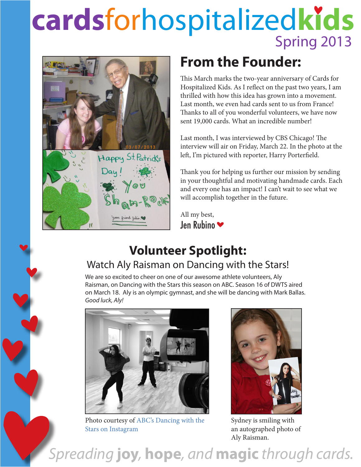## **cards**forhospitalized**kids** Spring 2013



### **From the Founder:**

This March marks the two-year anniversary of Cards for Hospitalized Kids. As I reflect on the past two years, I am thrilled with how this idea has grown into a movement. Last month, we even had cards sent to us from France! Thanks to all of you wonderful volunteers, we have now sent 19,000 cards. What an incredible number!

Last month, I was interviewed by CBS Chicago! The interview will air on Friday, March 22. In the photo at the left, I'm pictured with reporter, Harry Porterfield.

Thank you for helping us further our mission by sending in your thoughtful and motivating handmade cards. Each and every one has an impact! I can't wait to see what we will accomplish together in the future.

All my best, Jen Rubino

#### **Volunteer Spotlight:** Watch Aly Raisman on Dancing with the Stars!

We are so excited to cheer on one of our awesome athlete volunteers, Aly Raisman, on Dancing with the Stars this season on ABC. Season 16 of DWTS aired on March 18. Aly is an olympic gymnast, and she will be dancing with Mark Ballas. *Good luck, Aly!* 



Photo courtesy of ABC's Dancing with the Stars on Instagram



Sydney is smiling with an autographed photo of Aly Raisman.

*Spreading* **joy***,* **hope***, and* **magic** *through cards.*